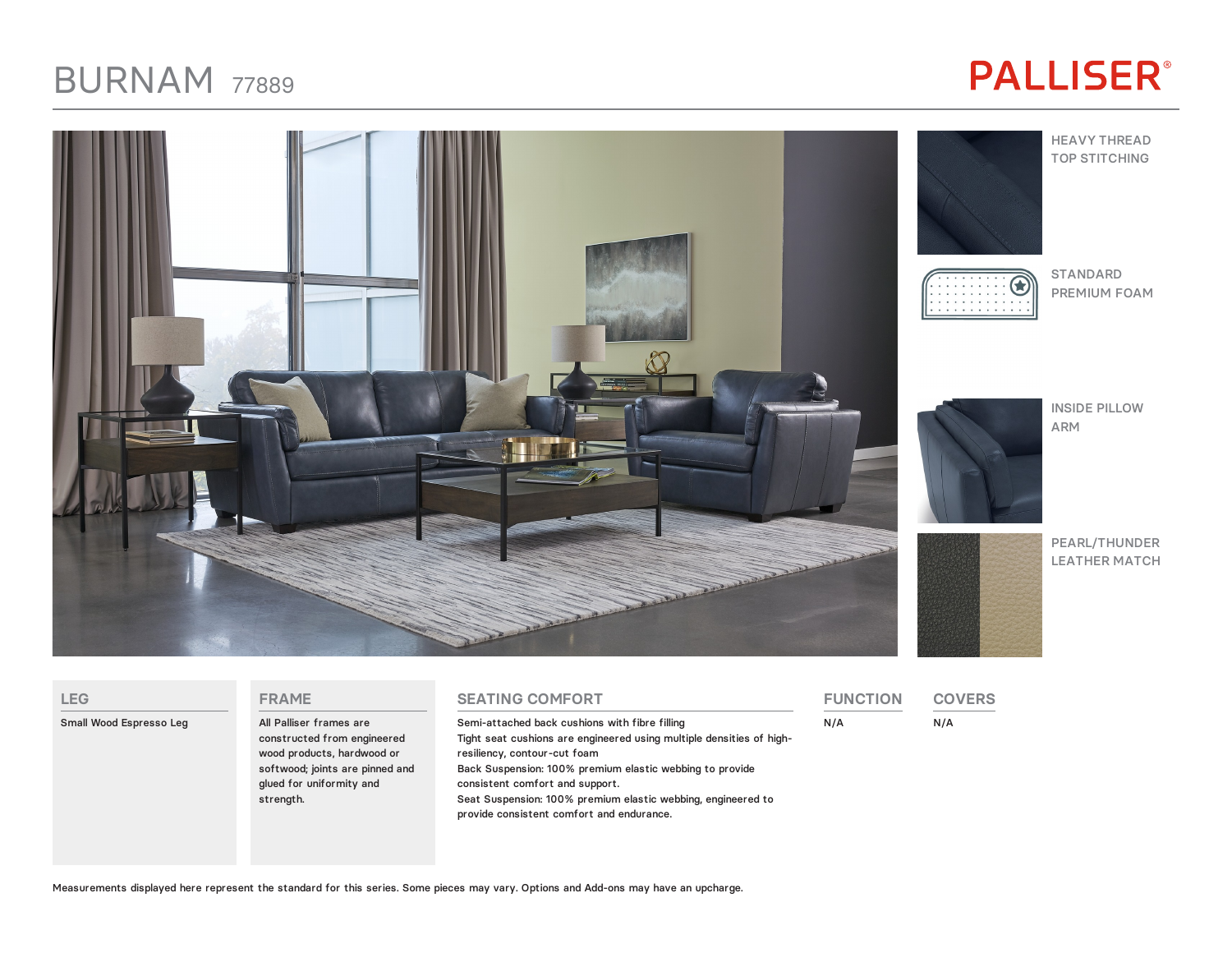#### BURNAM <sup>77889</sup>

# **PALLISER®**



HEAVY THREAD TOP STITCHING  $\bigcirc$ 

STANDARD PREMIUM FOAM

INSIDE PILLOW ARM

PEARL/THUNDER LEATHER MATCH

| <b>LEG</b>              | <b>FRAME</b>                                                                                                                                                     | <b>SEATING COMFORT</b>                                                                                                                                                                                                                                                                                                                                             | <b>FUNCTION</b> | <b>COVERS</b> |
|-------------------------|------------------------------------------------------------------------------------------------------------------------------------------------------------------|--------------------------------------------------------------------------------------------------------------------------------------------------------------------------------------------------------------------------------------------------------------------------------------------------------------------------------------------------------------------|-----------------|---------------|
| Small Wood Espresso Leg | All Palliser frames are<br>constructed from engineered<br>wood products, hardwood or<br>softwood; joints are pinned and<br>glued for uniformity and<br>strength. | Semi-attached back cushions with fibre filling<br>Tight seat cushions are engineered using multiple densities of high-<br>resiliency, contour-cut foam<br>Back Suspension: 100% premium elastic webbing to provide<br>consistent comfort and support.<br>Seat Suspension: 100% premium elastic webbing, engineered to<br>provide consistent comfort and endurance. | N/A             | N/A           |

Measurements displayed here represent the standard for this series. Some pieces may vary. Options and Add-ons may have an upcharge.